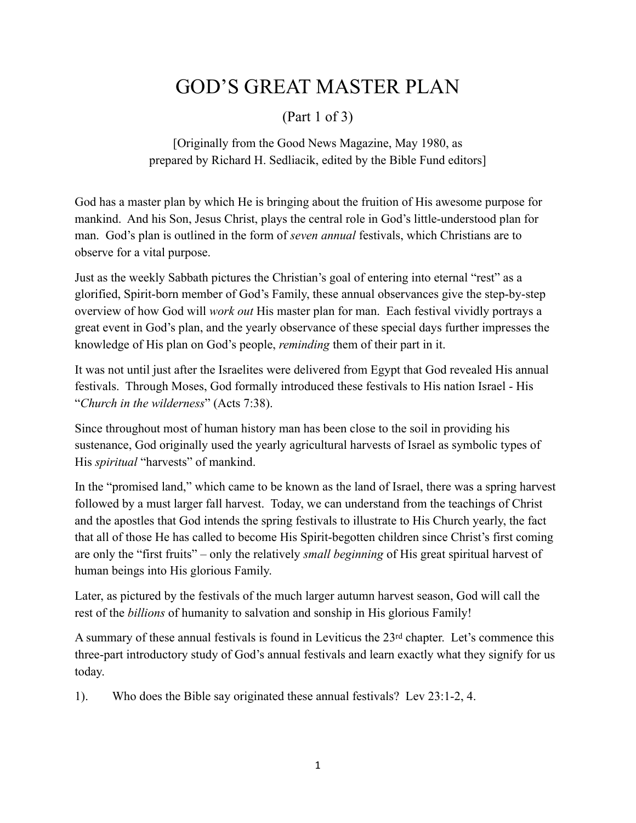## GOD'S GREAT MASTER PLAN

## (Part 1 of 3)

[Originally from the Good News Magazine, May 1980, as prepared by Richard H. Sedliacik, edited by the Bible Fund editors]

God has a master plan by which He is bringing about the fruition of His awesome purpose for mankind. And his Son, Jesus Christ, plays the central role in God's little-understood plan for man. God's plan is outlined in the form of *seven annual* festivals, which Christians are to observe for a vital purpose.

Just as the weekly Sabbath pictures the Christian's goal of entering into eternal "rest" as a glorified, Spirit-born member of God's Family, these annual observances give the step-by-step overview of how God will *work out* His master plan for man. Each festival vividly portrays a great event in God's plan, and the yearly observance of these special days further impresses the knowledge of His plan on God's people, *reminding* them of their part in it.

It was not until just after the Israelites were delivered from Egypt that God revealed His annual festivals. Through Moses, God formally introduced these festivals to His nation Israel - His "*Church in the wilderness*" (Acts 7:38).

Since throughout most of human history man has been close to the soil in providing his sustenance, God originally used the yearly agricultural harvests of Israel as symbolic types of His *spiritual* "harvests" of mankind.

In the "promised land," which came to be known as the land of Israel, there was a spring harvest followed by a must larger fall harvest. Today, we can understand from the teachings of Christ and the apostles that God intends the spring festivals to illustrate to His Church yearly, the fact that all of those He has called to become His Spirit-begotten children since Christ's first coming are only the "first fruits" – only the relatively *small beginning* of His great spiritual harvest of human beings into His glorious Family.

Later, as pictured by the festivals of the much larger autumn harvest season, God will call the rest of the *billions* of humanity to salvation and sonship in His glorious Family!

A summary of these annual festivals is found in Leviticus the 23rd chapter. Let's commence this three-part introductory study of God's annual festivals and learn exactly what they signify for us today.

1). Who does the Bible say originated these annual festivals? Lev 23:1-2, 4.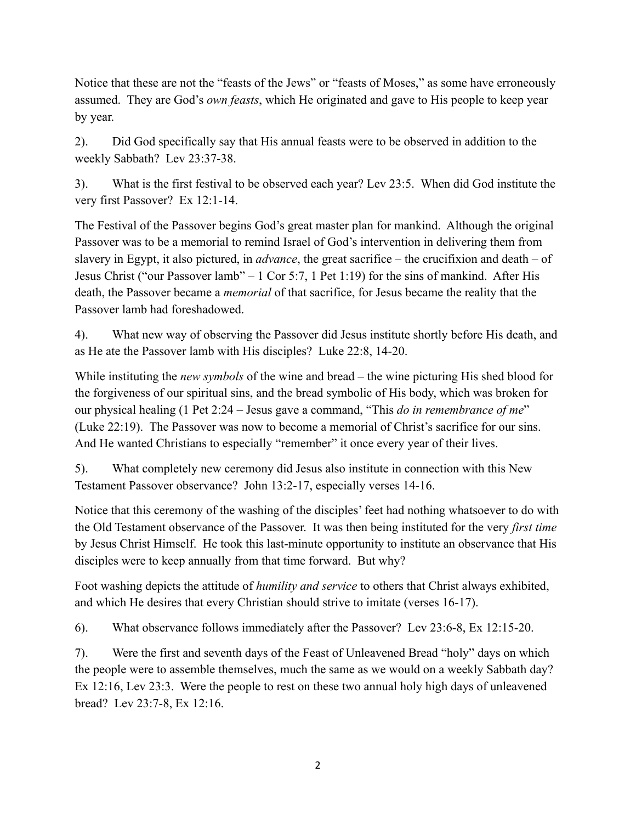Notice that these are not the "feasts of the Jews" or "feasts of Moses," as some have erroneously assumed. They are God's *own feasts*, which He originated and gave to His people to keep year by year.

2). Did God specifically say that His annual feasts were to be observed in addition to the weekly Sabbath? Lev 23:37-38.

3). What is the first festival to be observed each year? Lev 23:5. When did God institute the very first Passover? Ex 12:1-14.

The Festival of the Passover begins God's great master plan for mankind. Although the original Passover was to be a memorial to remind Israel of God's intervention in delivering them from slavery in Egypt, it also pictured, in *advance*, the great sacrifice – the crucifixion and death – of Jesus Christ ("our Passover lamb" – 1 Cor 5:7, 1 Pet 1:19) for the sins of mankind. After His death, the Passover became a *memorial* of that sacrifice, for Jesus became the reality that the Passover lamb had foreshadowed.

4). What new way of observing the Passover did Jesus institute shortly before His death, and as He ate the Passover lamb with His disciples? Luke 22:8, 14-20.

While instituting the *new symbols* of the wine and bread – the wine picturing His shed blood for the forgiveness of our spiritual sins, and the bread symbolic of His body, which was broken for our physical healing (1 Pet 2:24 – Jesus gave a command, "This *do in remembrance of me*" (Luke 22:19). The Passover was now to become a memorial of Christ's sacrifice for our sins. And He wanted Christians to especially "remember" it once every year of their lives.

5). What completely new ceremony did Jesus also institute in connection with this New Testament Passover observance? John 13:2-17, especially verses 14-16.

Notice that this ceremony of the washing of the disciples' feet had nothing whatsoever to do with the Old Testament observance of the Passover. It was then being instituted for the very *first time* by Jesus Christ Himself. He took this last-minute opportunity to institute an observance that His disciples were to keep annually from that time forward. But why?

Foot washing depicts the attitude of *humility and service* to others that Christ always exhibited, and which He desires that every Christian should strive to imitate (verses 16-17).

6). What observance follows immediately after the Passover? Lev 23:6-8, Ex 12:15-20.

7). Were the first and seventh days of the Feast of Unleavened Bread "holy" days on which the people were to assemble themselves, much the same as we would on a weekly Sabbath day? Ex 12:16, Lev 23:3. Were the people to rest on these two annual holy high days of unleavened bread? Lev 23:7-8, Ex 12:16.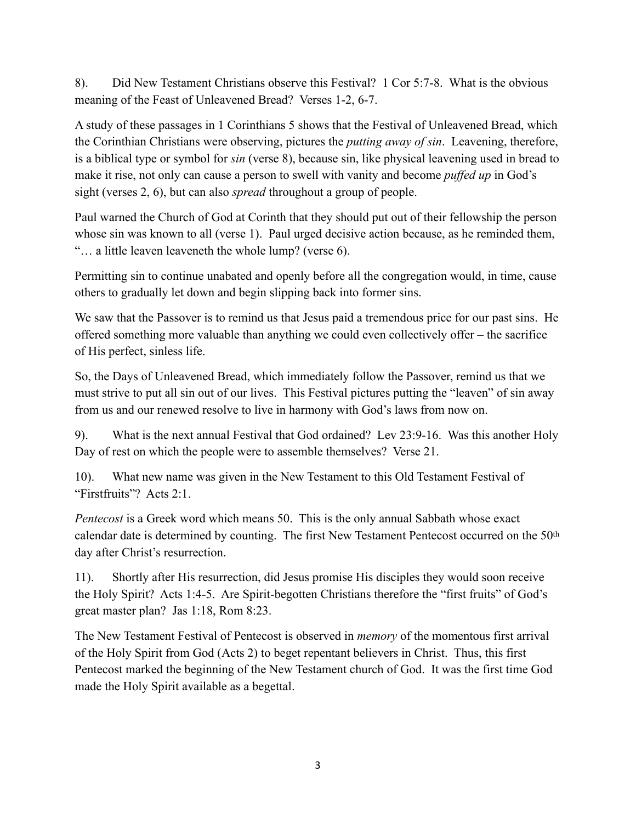8). Did New Testament Christians observe this Festival? 1 Cor 5:7-8. What is the obvious meaning of the Feast of Unleavened Bread? Verses 1-2, 6-7.

A study of these passages in 1 Corinthians 5 shows that the Festival of Unleavened Bread, which the Corinthian Christians were observing, pictures the *putting away of sin*. Leavening, therefore, is a biblical type or symbol for *sin* (verse 8), because sin, like physical leavening used in bread to make it rise, not only can cause a person to swell with vanity and become *puffed up* in God's sight (verses 2, 6), but can also *spread* throughout a group of people.

Paul warned the Church of God at Corinth that they should put out of their fellowship the person whose sin was known to all (verse 1). Paul urged decisive action because, as he reminded them, "… a little leaven leaveneth the whole lump? (verse 6).

Permitting sin to continue unabated and openly before all the congregation would, in time, cause others to gradually let down and begin slipping back into former sins.

We saw that the Passover is to remind us that Jesus paid a tremendous price for our past sins. He offered something more valuable than anything we could even collectively offer – the sacrifice of His perfect, sinless life.

So, the Days of Unleavened Bread, which immediately follow the Passover, remind us that we must strive to put all sin out of our lives. This Festival pictures putting the "leaven" of sin away from us and our renewed resolve to live in harmony with God's laws from now on.

9). What is the next annual Festival that God ordained? Lev 23:9-16. Was this another Holy Day of rest on which the people were to assemble themselves? Verse 21.

10). What new name was given in the New Testament to this Old Testament Festival of "Firstfruits"? Acts 2:1.

*Pentecost* is a Greek word which means 50. This is the only annual Sabbath whose exact calendar date is determined by counting. The first New Testament Pentecost occurred on the 50th day after Christ's resurrection.

11). Shortly after His resurrection, did Jesus promise His disciples they would soon receive the Holy Spirit? Acts 1:4-5. Are Spirit-begotten Christians therefore the "first fruits" of God's great master plan? Jas 1:18, Rom 8:23.

The New Testament Festival of Pentecost is observed in *memory* of the momentous first arrival of the Holy Spirit from God (Acts 2) to beget repentant believers in Christ. Thus, this first Pentecost marked the beginning of the New Testament church of God. It was the first time God made the Holy Spirit available as a begettal.